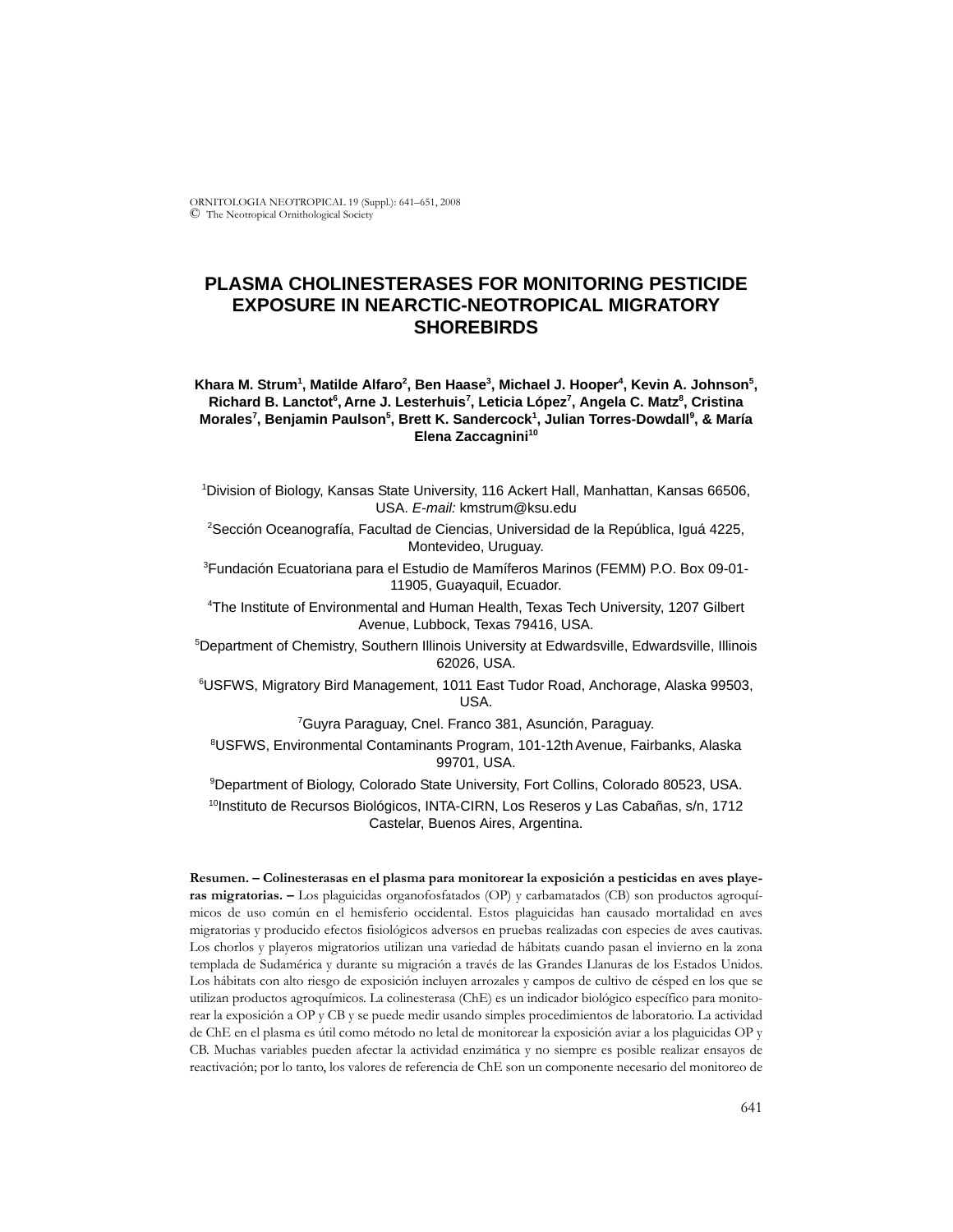ORNITOLOGIA NEOTROPICAL 19 (Suppl.): 641–651, 2008 © The Neotropical Ornithological Society

# **PLASMA CHOLINESTERASES FOR MONITORING PESTICIDE EXPOSURE IN NEARCTIC-NEOTROPICAL MIGRATORY SHOREBIRDS**

Khara M. Strum<sup>1</sup>, Matilde Alfaro<sup>2</sup>, Ben Haase<sup>3</sup>, Michael J. Hooper<sup>4</sup>, Kevin A. Johnson<sup>5</sup>, Richard B. Lanctot<sup>6</sup>, Arne J. Lesterhuis<sup>7</sup>, Leticia López<sup>7</sup>, Angela C. Matz<sup>8</sup>, Cristina **Morales7 , Benjamin Paulson5 , Brett K. Sandercock1 , Julian Torres-Dowdall9 , & María Elena Zaccagnini<sup>10</sup>** 

1 Division of Biology, Kansas State University, 116 Ackert Hall, Manhattan, Kansas 66506, USA. *E-mail:* kmstrum@ksu.edu

2 Sección Oceanografía, Facultad de Ciencias, Universidad de la República, Iguá 4225, Montevideo, Uruguay.

3 Fundación Ecuatoriana para el Estudio de Mamíferos Marinos (FEMM) P.O. Box 09-01- 11905, Guayaquil, Ecuador.

4 The Institute of Environmental and Human Health, Texas Tech University, 1207 Gilbert Avenue, Lubbock, Texas 79416, USA.

5 Department of Chemistry, Southern Illinois University at Edwardsville, Edwardsville, Illinois 62026, USA.

6 USFWS, Migratory Bird Management, 1011 East Tudor Road, Anchorage, Alaska 99503, USA.

7 Guyra Paraguay, Cnel. Franco 381, Asunción, Paraguay.

8 USFWS, Environmental Contaminants Program, 101-12th Avenue, Fairbanks, Alaska 99701, USA.

9 Department of Biology, Colorado State University, Fort Collins, Colorado 80523, USA. <sup>10</sup>Instituto de Recursos Biológicos, INTA-CIRN, Los Reseros y Las Cabañas, s/n, 1712 Castelar, Buenos Aires, Argentina.

**Resumen. – Colinesterasas en el plasma para monitorear la exposición a pesticidas en aves playeras migratorias. –** Los plaguicidas organofosfatados (OP) y carbamatados (CB) son productos agroquímicos de uso común en el hemisferio occidental. Estos plaguicidas han causado mortalidad en aves migratorias y producido efectos fisiológicos adversos en pruebas realizadas con especies de aves cautivas. Los chorlos y playeros migratorios utilizan una variedad de hábitats cuando pasan el invierno en la zona templada de Sudamérica y durante su migración a través de las Grandes Llanuras de los Estados Unidos. Los hábitats con alto riesgo de exposición incluyen arrozales y campos de cultivo de césped en los que se utilizan productos agroquímicos. La colinesterasa (ChE) es un indicador biológico específico para monitorear la exposición a OP y CB y se puede medir usando simples procedimientos de laboratorio. La actividad de ChE en el plasma es útil como método no letal de monitorear la exposición aviar a los plaguicidas OP y CB. Muchas variables pueden afectar la actividad enzimática y no siempre es posible realizar ensayos de reactivación; por lo tanto, los valores de referencia de ChE son un componente necesario del monitoreo de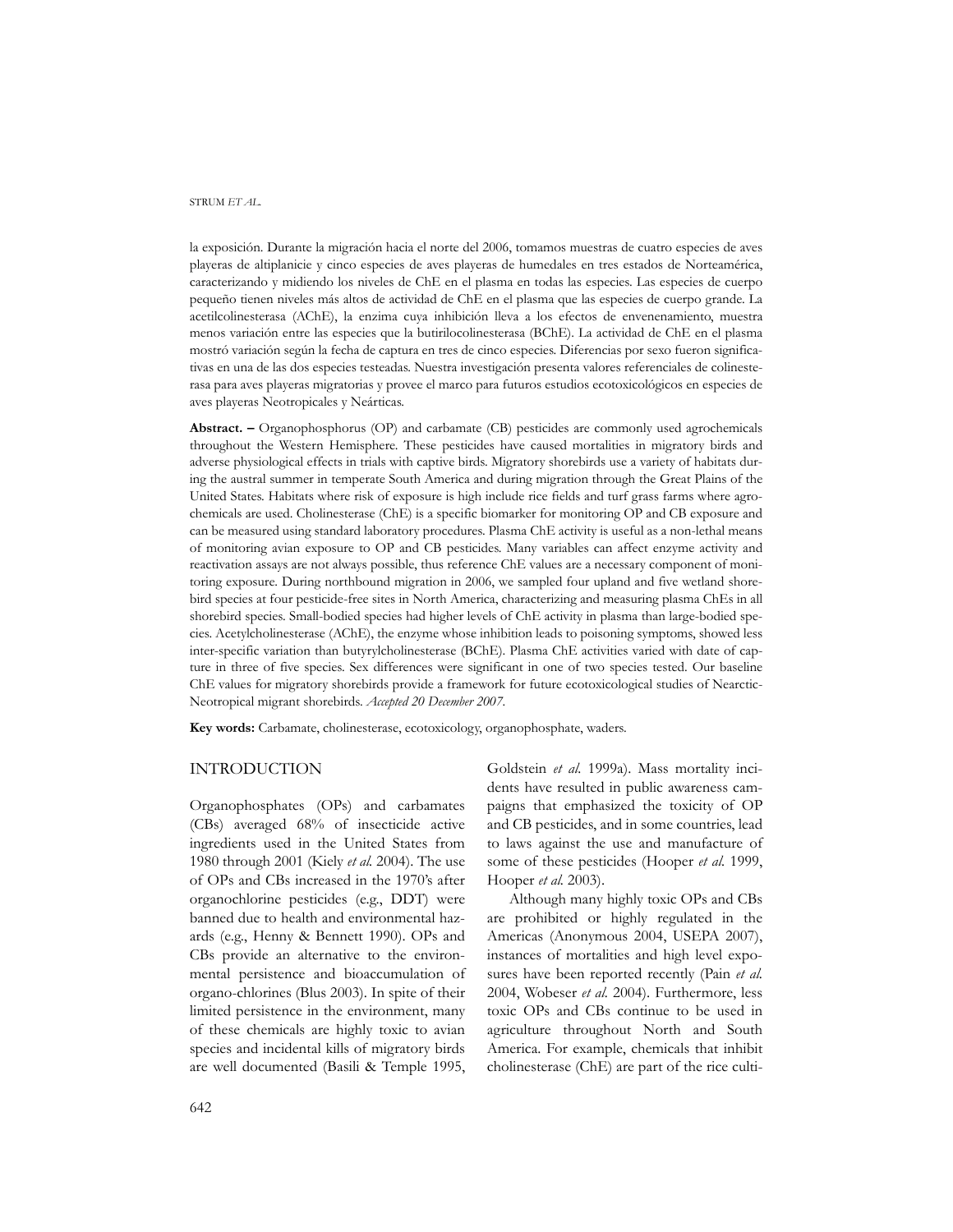la exposición. Durante la migración hacia el norte del 2006, tomamos muestras de cuatro especies de aves playeras de altiplanicie y cinco especies de aves playeras de humedales en tres estados de Norteamérica, caracterizando y midiendo los niveles de ChE en el plasma en todas las especies. Las especies de cuerpo pequeño tienen niveles más altos de actividad de ChE en el plasma que las especies de cuerpo grande. La acetilcolinesterasa (AChE), la enzima cuya inhibición lleva a los efectos de envenenamiento, muestra menos variación entre las especies que la butirilocolinesterasa (BChE). La actividad de ChE en el plasma mostró variación según la fecha de captura en tres de cinco especies. Diferencias por sexo fueron significativas en una de las dos especies testeadas. Nuestra investigación presenta valores referenciales de colinesterasa para aves playeras migratorias y provee el marco para futuros estudios ecotoxicológicos en especies de aves playeras Neotropicales y Neárticas.

**Abstract. –** Organophosphorus (OP) and carbamate (CB) pesticides are commonly used agrochemicals throughout the Western Hemisphere. These pesticides have caused mortalities in migratory birds and adverse physiological effects in trials with captive birds. Migratory shorebirds use a variety of habitats during the austral summer in temperate South America and during migration through the Great Plains of the United States. Habitats where risk of exposure is high include rice fields and turf grass farms where agrochemicals are used. Cholinesterase (ChE) is a specific biomarker for monitoring OP and CB exposure and can be measured using standard laboratory procedures. Plasma ChE activity is useful as a non-lethal means of monitoring avian exposure to OP and CB pesticides. Many variables can affect enzyme activity and reactivation assays are not always possible, thus reference ChE values are a necessary component of monitoring exposure. During northbound migration in 2006, we sampled four upland and five wetland shorebird species at four pesticide-free sites in North America, characterizing and measuring plasma ChEs in all shorebird species. Small-bodied species had higher levels of ChE activity in plasma than large-bodied species. Acetylcholinesterase (AChE), the enzyme whose inhibition leads to poisoning symptoms, showed less inter-specific variation than butyrylcholinesterase (BChE). Plasma ChE activities varied with date of capture in three of five species. Sex differences were significant in one of two species tested. Our baseline ChE values for migratory shorebirds provide a framework for future ecotoxicological studies of Nearctic-Neotropical migrant shorebirds. *Accepted 20 December 2007.*

**Key words:** Carbamate, cholinesterase, ecotoxicology, organophosphate, waders.

## INTRODUCTION

Organophosphates (OPs) and carbamates (CBs) averaged 68% of insecticide active ingredients used in the United States from 1980 through 2001 (Kiely *et al.* 2004). The use of OPs and CBs increased in the 1970's after organochlorine pesticides (e.g., DDT) were banned due to health and environmental hazards (e.g., Henny & Bennett 1990). OPs and CBs provide an alternative to the environmental persistence and bioaccumulation of organo-chlorines (Blus 2003). In spite of their limited persistence in the environment, many of these chemicals are highly toxic to avian species and incidental kills of migratory birds are well documented (Basili & Temple 1995,

Goldstein *et al.* 1999a). Mass mortality incidents have resulted in public awareness campaigns that emphasized the toxicity of OP and CB pesticides, and in some countries, lead to laws against the use and manufacture of some of these pesticides (Hooper *et al.* 1999, Hooper *et al.* 2003).

Although many highly toxic OPs and CBs are prohibited or highly regulated in the Americas (Anonymous 2004, USEPA 2007), instances of mortalities and high level exposures have been reported recently (Pain *et al.* 2004, Wobeser *et al.* 2004). Furthermore, less toxic OPs and CBs continue to be used in agriculture throughout North and South America. For example, chemicals that inhibit cholinesterase (ChE) are part of the rice culti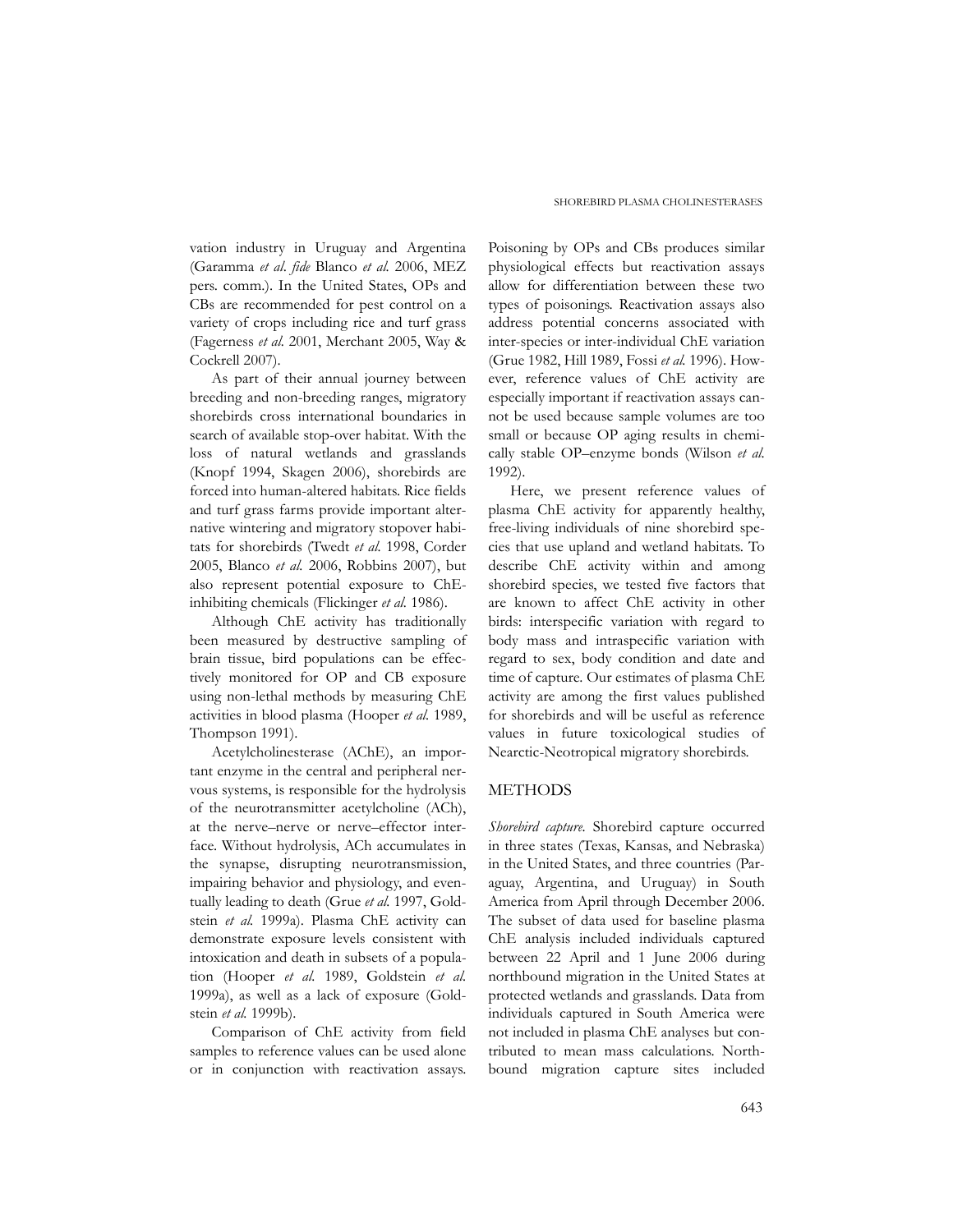vation industry in Uruguay and Argentina (Garamma *et al*. *fide* Blanco *et al.* 2006, MEZ pers. comm.). In the United States, OPs and CBs are recommended for pest control on a variety of crops including rice and turf grass (Fagerness *et al.* 2001, Merchant 2005, Way & Cockrell 2007).

As part of their annual journey between breeding and non-breeding ranges, migratory shorebirds cross international boundaries in search of available stop-over habitat. With the loss of natural wetlands and grasslands (Knopf 1994, Skagen 2006), shorebirds are forced into human-altered habitats. Rice fields and turf grass farms provide important alternative wintering and migratory stopover habitats for shorebirds (Twedt *et al.* 1998, Corder 2005, Blanco *et al.* 2006, Robbins 2007), but also represent potential exposure to ChEinhibiting chemicals (Flickinger *et al.* 1986).

Although ChE activity has traditionally been measured by destructive sampling of brain tissue, bird populations can be effectively monitored for OP and CB exposure using non-lethal methods by measuring ChE activities in blood plasma (Hooper *et al.* 1989, Thompson 1991).

Acetylcholinesterase (AChE), an important enzyme in the central and peripheral nervous systems, is responsible for the hydrolysis of the neurotransmitter acetylcholine (ACh), at the nerve–nerve or nerve–effector interface. Without hydrolysis, ACh accumulates in the synapse, disrupting neurotransmission, impairing behavior and physiology, and eventually leading to death (Grue *et al.* 1997, Goldstein *et al.* 1999a). Plasma ChE activity can demonstrate exposure levels consistent with intoxication and death in subsets of a population (Hooper *et al.* 1989, Goldstein *et al.* 1999a), as well as a lack of exposure (Goldstein *et al.* 1999b).

Comparison of ChE activity from field samples to reference values can be used alone or in conjunction with reactivation assays.

Poisoning by OPs and CBs produces similar physiological effects but reactivation assays allow for differentiation between these two types of poisonings. Reactivation assays also address potential concerns associated with inter-species or inter-individual ChE variation (Grue 1982, Hill 1989, Fossi *et al.* 1996). However, reference values of ChE activity are especially important if reactivation assays cannot be used because sample volumes are too small or because OP aging results in chemically stable OP–enzyme bonds (Wilson *et al.* 1992).

Here, we present reference values of plasma ChE activity for apparently healthy, free-living individuals of nine shorebird species that use upland and wetland habitats. To describe ChE activity within and among shorebird species, we tested five factors that are known to affect ChE activity in other birds: interspecific variation with regard to body mass and intraspecific variation with regard to sex, body condition and date and time of capture. Our estimates of plasma ChE activity are among the first values published for shorebirds and will be useful as reference values in future toxicological studies of Nearctic-Neotropical migratory shorebirds.

## METHODS

*Shorebird capture.* Shorebird capture occurred in three states (Texas, Kansas, and Nebraska) in the United States, and three countries (Paraguay, Argentina, and Uruguay) in South America from April through December 2006. The subset of data used for baseline plasma ChE analysis included individuals captured between 22 April and 1 June 2006 during northbound migration in the United States at protected wetlands and grasslands. Data from individuals captured in South America were not included in plasma ChE analyses but contributed to mean mass calculations. Northbound migration capture sites included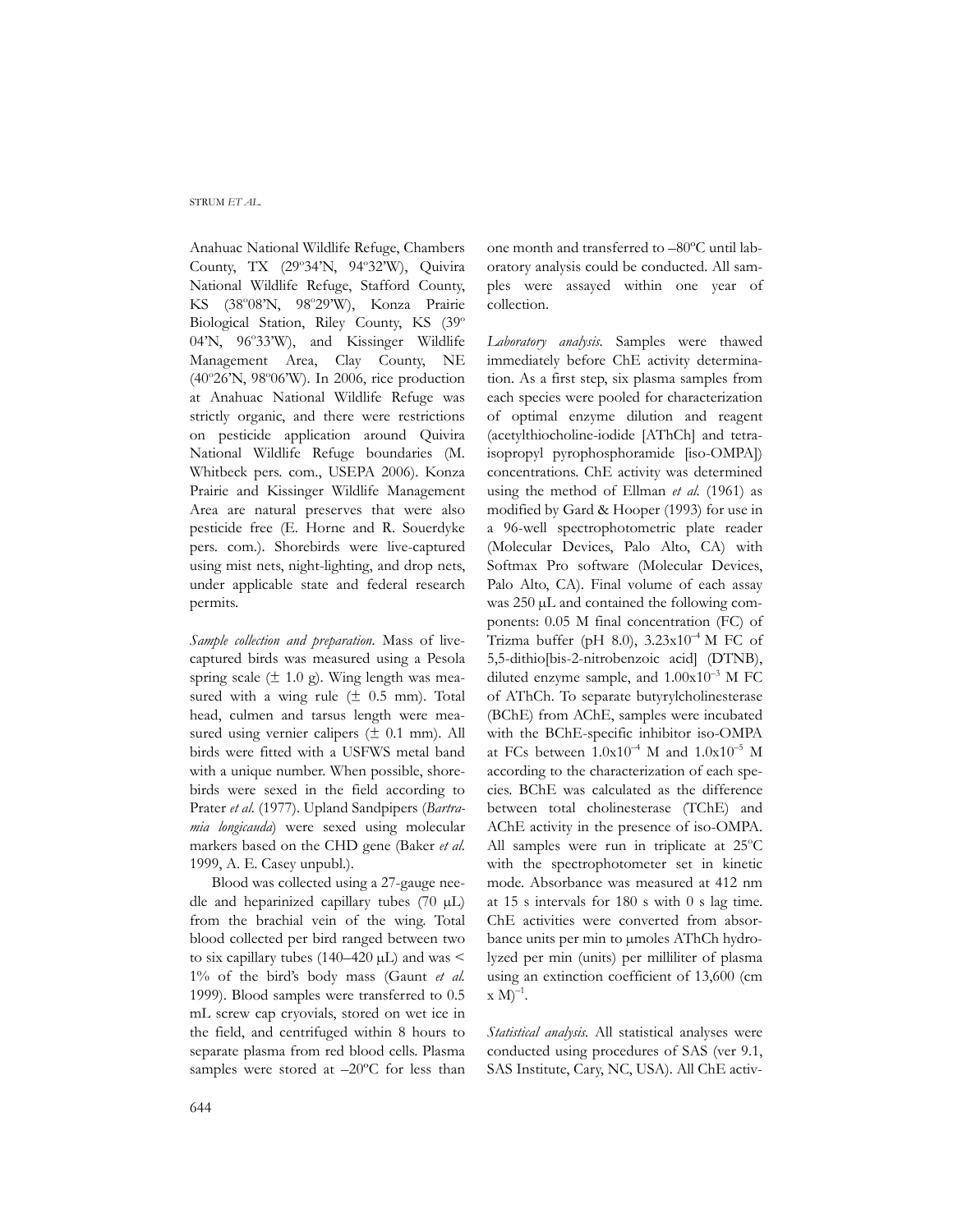Anahuac National Wildlife Refuge, Chambers County, TX (29°34'N, 94°32'W), Quivira National Wildlife Refuge, Stafford County, KS (38°08'N, 98°29'W), Konza Prairie Biological Station, Riley County, KS (39° 04'N, 96°33'W), and Kissinger Wildlife Management Area, Clay County, NE (40°26'N, 98°06'W). In 2006, rice production at Anahuac National Wildlife Refuge was strictly organic, and there were restrictions on pesticide application around Quivira National Wildlife Refuge boundaries (M. Whitbeck pers. com., USEPA 2006). Konza Prairie and Kissinger Wildlife Management Area are natural preserves that were also pesticide free (E. Horne and R. Souerdyke pers. com.). Shorebirds were live-captured using mist nets, night-lighting, and drop nets, under applicable state and federal research permits.

*Sample collection and preparation.* Mass of livecaptured birds was measured using a Pesola spring scale  $(\pm 1.0 \text{ g})$ . Wing length was measured with a wing rule  $(\pm 0.5 \text{ mm})$ . Total head, culmen and tarsus length were measured using vernier calipers  $(\pm 0.1 \text{ mm})$ . All birds were fitted with a USFWS metal band with a unique number. When possible, shorebirds were sexed in the field according to Prater *et al.* (1977). Upland Sandpipers (*Bartramia longicauda*) were sexed using molecular markers based on the CHD gene (Baker *et al.* 1999, A. E. Casey unpubl.).

Blood was collected using a 27-gauge needle and heparinized capillary tubes  $(70 \mu L)$ from the brachial vein of the wing. Total blood collected per bird ranged between two to six capillary tubes (140–420 µL) and was < 1% of the bird's body mass (Gaunt *et al.* 1999). Blood samples were transferred to 0.5 mL screw cap cryovials, stored on wet ice in the field, and centrifuged within 8 hours to separate plasma from red blood cells. Plasma samples were stored at  $-20^{\circ}$ C for less than

one month and transferred to –80ºC until laboratory analysis could be conducted. All samples were assayed within one year of collection.

*Laboratory analysis.* Samples were thawed immediately before ChE activity determination. As a first step, six plasma samples from each species were pooled for characterization of optimal enzyme dilution and reagent (acetylthiocholine-iodide [AThCh] and tetraisopropyl pyrophosphoramide [iso-OMPA]) concentrations. ChE activity was determined using the method of Ellman *et al.* (1961) as modified by Gard & Hooper (1993) for use in a 96-well spectrophotometric plate reader (Molecular Devices, Palo Alto, CA) with Softmax Pro software (Molecular Devices, Palo Alto, CA). Final volume of each assay was 250 µL and contained the following components: 0.05 M final concentration (FC) of Trizma buffer (pH 8.0),  $3.23 \times 10^{-4}$  M FC of 5,5-dithio[bis-2-nitrobenzoic acid] (DTNB), diluted enzyme sample, and  $1.00x10^{-3}$  M FC of AThCh. To separate butyrylcholinesterase (BChE) from AChE, samples were incubated with the BChE-specific inhibitor iso-OMPA at FCs between  $1.0x10^{-4}$  M and  $1.0x10^{-5}$  M according to the characterization of each species. BChE was calculated as the difference between total cholinesterase (TChE) and AChE activity in the presence of iso-OMPA. All samples were run in triplicate at 25°C with the spectrophotometer set in kinetic mode. Absorbance was measured at 412 nm at 15 s intervals for 180 s with 0 s lag time. ChE activities were converted from absorbance units per min to umoles AThCh hydrolyzed per min (units) per milliliter of plasma using an extinction coefficient of 13,600 (cm  $\times$  M)<sup>-1</sup>.

*Statistical analysis.* All statistical analyses were conducted using procedures of SAS (ver 9.1, SAS Institute, Cary, NC, USA). All ChE activ-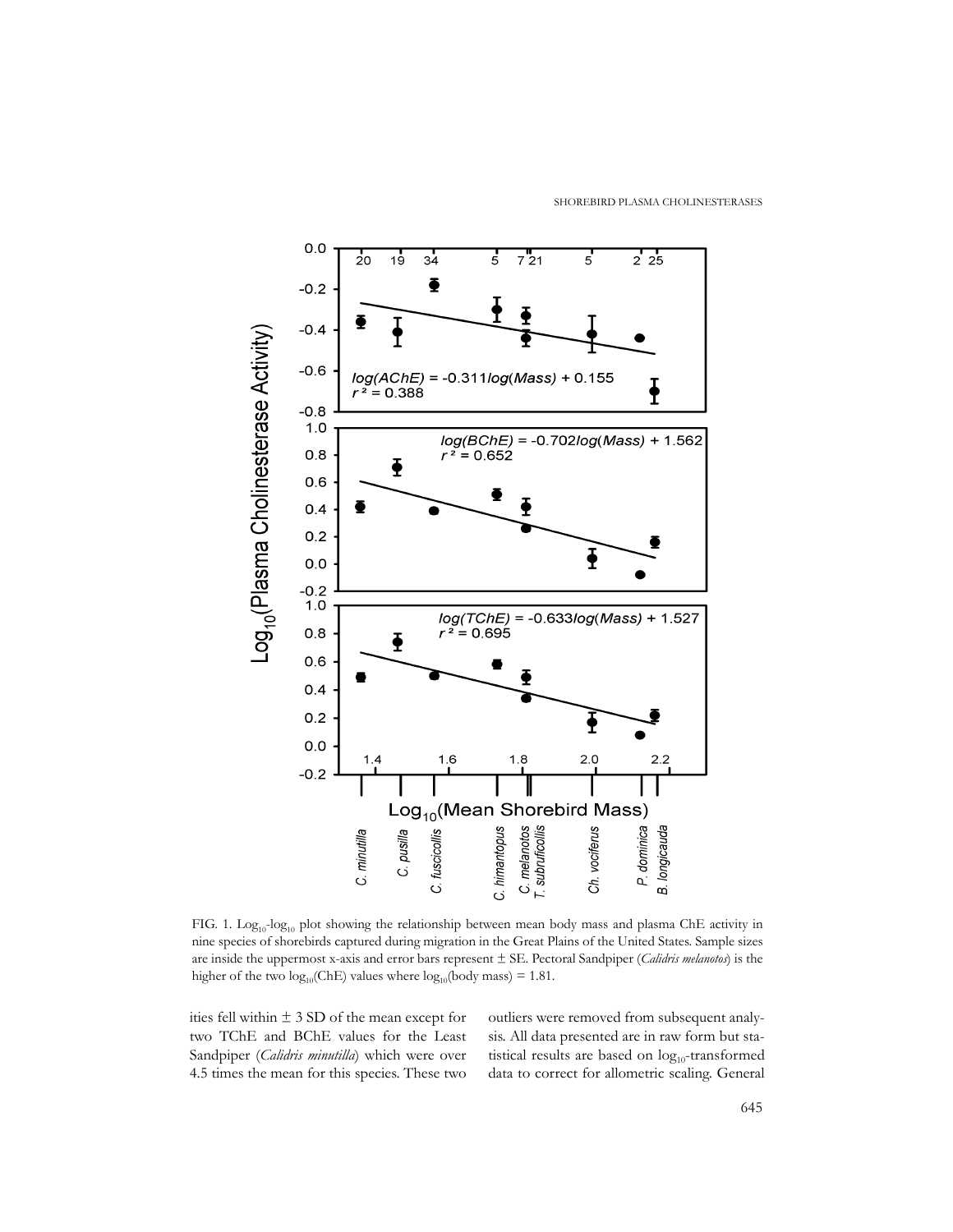SHOREBIRD PLASMA CHOLINESTERASES



FIG. 1. Log<sub>10</sub>-log<sub>10</sub> plot showing the relationship between mean body mass and plasma ChE activity in nine species of shorebirds captured during migration in the Great Plains of the United States. Sample sizes are inside the uppermost x-axis and error bars represent ± SE. Pectoral Sandpiper (*Calidris melanotos*) is the higher of the two  $log_{10}(ChE)$  values where  $log_{10}(body \, mass) = 1.81$ .

ities fell within ± 3 SD of the mean except for two TChE and BChE values for the Least Sandpiper (*Calidris minutilla*) which were over 4.5 times the mean for this species. These two outliers were removed from subsequent analysis. All data presented are in raw form but statistical results are based on  $log_{10}$ -transformed data to correct for allometric scaling. General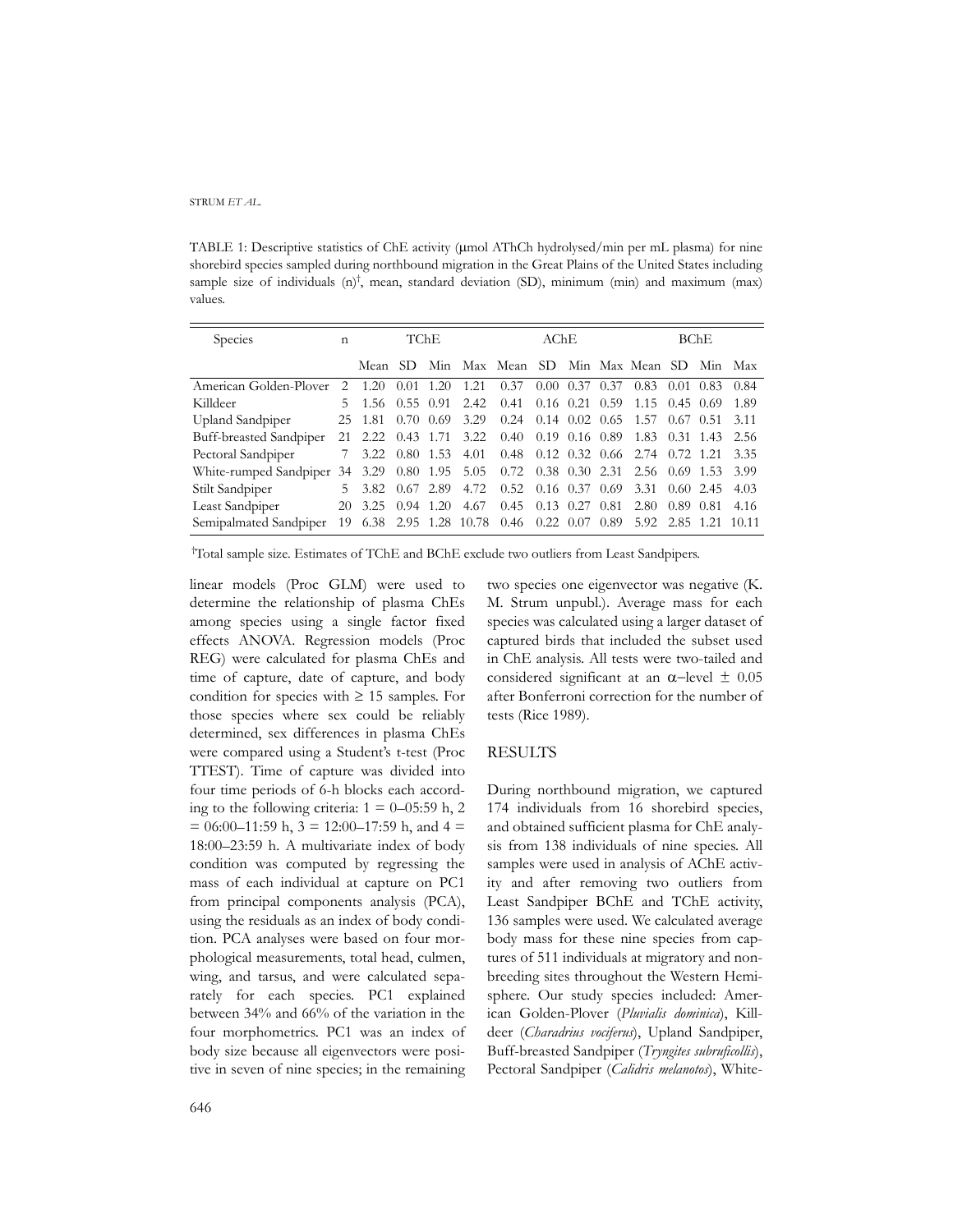TABLE 1: Descriptive statistics of ChE activity (µmol AThCh hydrolysed/min per mL plasma) for nine shorebird species sampled during northbound migration in the Great Plains of the United States including sample size of individuals  $(n)$ <sup>†</sup>, mean, standard deviation (SD), minimum (min) and maximum (max) values.

| Species                                                                               | n             | TChE                   |       |           |                     | AChE                                               |                      |                              |  | $B$ ChE                      |           |                   |         |
|---------------------------------------------------------------------------------------|---------------|------------------------|-------|-----------|---------------------|----------------------------------------------------|----------------------|------------------------------|--|------------------------------|-----------|-------------------|---------|
|                                                                                       |               | Mean SD                |       |           |                     | Min Max Mean SD Min Max Mean SD Min Max            |                      |                              |  |                              |           |                   |         |
| American Golden-Plover                                                                | $\mathcal{L}$ | 1.20                   | -0.01 | 1.20      | 1.21                | 0.37                                               |                      | $0.00 \quad 0.37 \quad 0.37$ |  | 0.83                         |           | $0.01 \quad 0.83$ | 0.84    |
| Killdeer                                                                              | 5.            | 1.56 0.55 0.91         |       |           | 2.42                | $0.41$ $0.16$ $0.21$ $0.59$                        |                      |                              |  | $1.15 \quad 0.45 \quad 0.69$ |           |                   | -1.89   |
| Upland Sandpiper                                                                      |               | 25 1.81                |       | 0.70 0.69 | 3.29                | $0.24$ 0.14 0.02 0.65                              |                      |                              |  | 1.57 0.67 0.51               |           |                   | 3.11    |
| Buff-breasted Sandpiper                                                               |               | 21 2.22 0.43 1.71 3.22 |       |           |                     | $0.40 \quad 0.19 \quad 0.16 \quad 0.89$            |                      |                              |  | 1.83 0.31 1.43 2.56          |           |                   |         |
| Pectoral Sandpiper                                                                    |               |                        |       |           | 3.22 0.80 1.53 4.01 | 0.48 0.12 0.32 0.66 2.74 0.72 1.21 3.35            |                      |                              |  |                              |           |                   |         |
| White-rumped Sandpiper 34 3.29 0.80 1.95 5.05 0.72 0.38 0.30 2.31 2.56 0.69 1.53 3.99 |               |                        |       |           |                     |                                                    |                      |                              |  |                              |           |                   |         |
| Stilt Sandpiper                                                                       |               | 5 3.82 0.67 2.89       |       |           | 4.72                | 0.52                                               | $0.16$ $0.37$ $0.69$ |                              |  | 3.31                         |           | $0.60$ 2.45       | 4.03    |
| Least Sandpiper                                                                       |               | 20 3.25 0.94 1.20      |       |           | -4.67               | 0.45                                               |                      | $0.13$ $0.27$ $0.81$         |  | 2.80                         | 0.89 0.81 |                   | 4.16    |
| Semipalmated Sandpiper                                                                | 19            | 6.38                   |       |           |                     | 2.95 1.28 10.78 0.46 0.22 0.07 0.89 5.92 2.85 1.21 |                      |                              |  |                              |           |                   | - 10.11 |

† Total sample size. Estimates of TChE and BChE exclude two outliers from Least Sandpipers*.*

linear models (Proc GLM) were used to determine the relationship of plasma ChEs among species using a single factor fixed effects ANOVA. Regression models (Proc REG) were calculated for plasma ChEs and time of capture, date of capture, and body condition for species with  $\geq 15$  samples. For those species where sex could be reliably determined, sex differences in plasma ChEs were compared using a Student's t-test (Proc TTEST). Time of capture was divided into four time periods of 6-h blocks each according to the following criteria:  $1 = 0 - 0.559$  h, 2  $= 06:00-11:59$  h,  $3 = 12:00-17:59$  h, and  $4 =$ 18:00–23:59 h. A multivariate index of body condition was computed by regressing the mass of each individual at capture on PC1 from principal components analysis (PCA), using the residuals as an index of body condition. PCA analyses were based on four morphological measurements, total head, culmen, wing, and tarsus, and were calculated separately for each species. PC1 explained between 34% and 66% of the variation in the four morphometrics. PC1 was an index of body size because all eigenvectors were positive in seven of nine species; in the remaining

two species one eigenvector was negative (K. M. Strum unpubl.). Average mass for each species was calculated using a larger dataset of captured birds that included the subset used in ChE analysis. All tests were two-tailed and considered significant at an α−level ± 0.05 after Bonferroni correction for the number of tests (Rice 1989).

### RESULTS

During northbound migration, we captured 174 individuals from 16 shorebird species, and obtained sufficient plasma for ChE analysis from 138 individuals of nine species. All samples were used in analysis of AChE activity and after removing two outliers from Least Sandpiper BChE and TChE activity, 136 samples were used. We calculated average body mass for these nine species from captures of 511 individuals at migratory and nonbreeding sites throughout the Western Hemisphere. Our study species included: American Golden-Plover (*Pluvialis dominica*), Killdeer (*Charadrius vociferus*), Upland Sandpiper, Buff-breasted Sandpiper (*Tryngites subruficollis*), Pectoral Sandpiper (*Calidris melanotos*), White-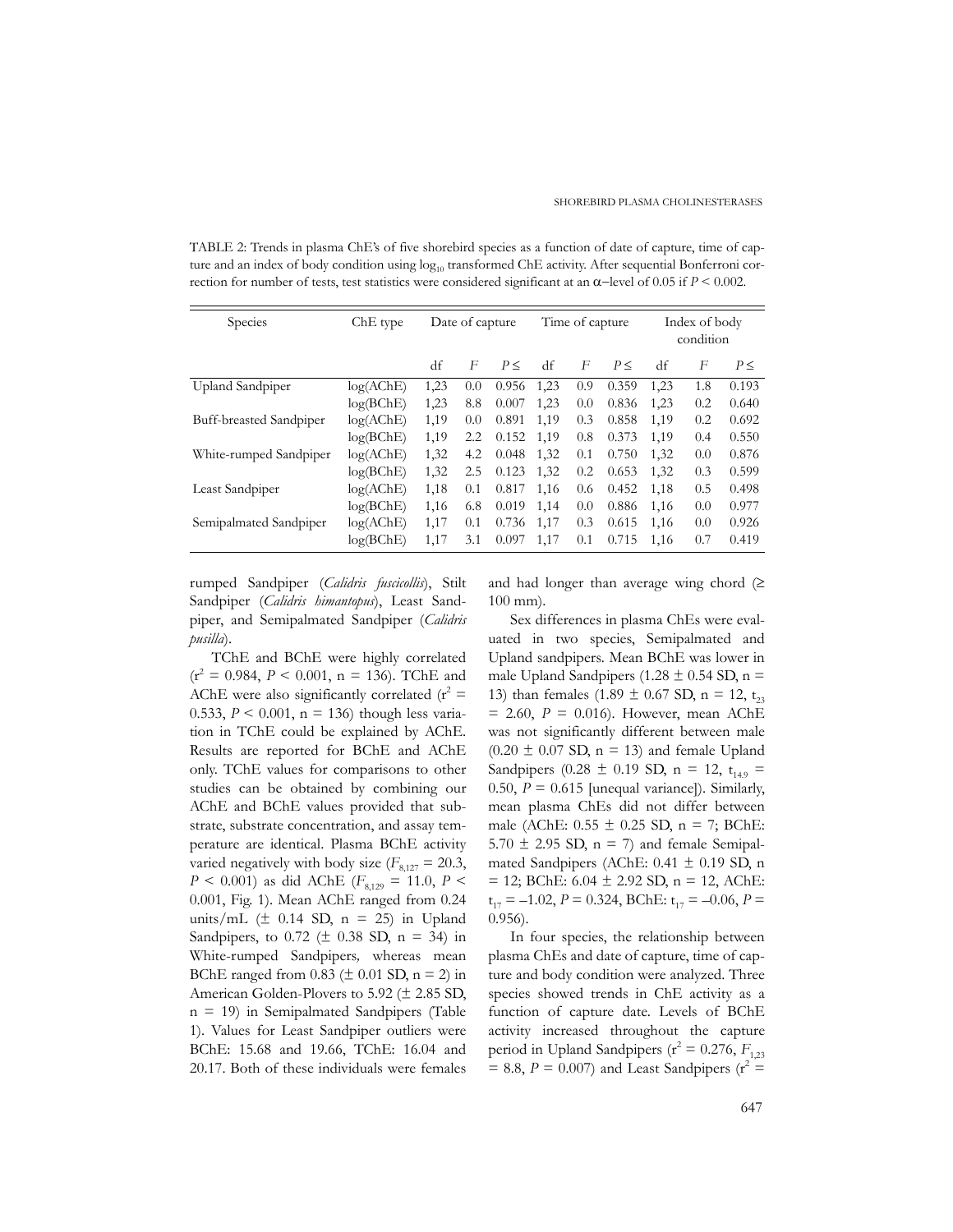TABLE 2: Trends in plasma ChE's of five shorebird species as a function of date of capture, time of capture and an index of body condition using  $log_{10}$  transformed ChE activity. After sequential Bonferroni correction for number of tests, test statistics were considered significant at an α−level of 0.05 if *P* < 0.002.

| Species                 | ChE type  | Date of capture |     |       |      | Time of capture |       | Index of body<br>condition |     |          |
|-------------------------|-----------|-----------------|-----|-------|------|-----------------|-------|----------------------------|-----|----------|
|                         |           | df              | F   | P<    | df   | F               | P<    | df                         | F   | $P \leq$ |
| <b>Upland Sandpiper</b> | log(AChE) | 1,23            | 0.0 | 0.956 | 1,23 | 0.9             | 0.359 | 1,23                       | 1.8 | 0.193    |
|                         | log(BChE) | 1,23            | 8.8 | 0.007 | 1,23 | 0.0             | 0.836 | 1,23                       | 0.2 | 0.640    |
| Buff-breasted Sandpiper | log(AChE) | 1,19            | 0.0 | 0.891 | 1,19 | 0.3             | 0.858 | 1,19                       | 0.2 | 0.692    |
|                         | log(BChE) | 1,19            | 2.2 | 0.152 | 1,19 | 0.8             | 0.373 | 1,19                       | 0.4 | 0.550    |
| White-rumped Sandpiper  | log(AChE) | 1,32            | 4.2 | 0.048 | 1,32 | 0.1             | 0.750 | 1,32                       | 0.0 | 0.876    |
|                         | log(BChE) | 1,32            | 2.5 | 0.123 | 1,32 | 0.2             | 0.653 | 1,32                       | 0.3 | 0.599    |
| Least Sandpiper         | log(AChE) | 1,18            | 0.1 | 0.817 | 1,16 | 0.6             | 0.452 | 1.18                       | 0.5 | 0.498    |
|                         | log(BChE) | 1,16            | 6.8 | 0.019 | 1,14 | 0.0             | 0.886 | 1,16                       | 0.0 | 0.977    |
| Semipalmated Sandpiper  | log(AChE) | 1,17            | 0.1 | 0.736 | 1,17 | 0.3             | 0.615 | 1,16                       | 0.0 | 0.926    |
|                         | log(BChE) | 1,17            | 3.1 | 0.097 | 1,17 | 0.1             | 0.715 | 1.16                       | 0.7 | 0.419    |

rumped Sandpiper (*Calidris fuscicollis*), Stilt Sandpiper (*Calidris himantopus*), Least Sandpiper, and Semipalmated Sandpiper (*Calidris pusilla*).

TChE and BChE were highly correlated  $(r^2 = 0.984, P < 0.001, n = 136)$ . TChE and AChE were also significantly correlated ( $r^2$  = 0.533,  $P < 0.001$ , n = 136) though less variation in TChE could be explained by AChE. Results are reported for BChE and AChE only. TChE values for comparisons to other studies can be obtained by combining our AChE and BChE values provided that substrate, substrate concentration, and assay temperature are identical. Plasma BChE activity varied negatively with body size  $(F_{8,127} = 20.3)$ ,  $P < 0.001$ ) as did AChE ( $F_{8,129} = 11.0$ ,  $P <$ 0.001, Fig. 1). Mean AChE ranged from 0.24 units/mL  $(\pm 0.14 \text{ SD}, n = 25)$  in Upland Sandpipers, to 0.72 ( $\pm$  0.38 SD, n = 34) in White-rumped Sandpipers*,* whereas mean BChE ranged from  $0.83$  ( $\pm 0.01$  SD, n = 2) in American Golden-Plovers to 5.92 (± 2.85 SD, n = 19) in Semipalmated Sandpipers (Table 1). Values for Least Sandpiper outliers were BChE: 15.68 and 19.66, TChE: 16.04 and 20.17. Both of these individuals were females

and had longer than average wing chord  $(≥$ 100 mm).

Sex differences in plasma ChEs were evaluated in two species, Semipalmated and Upland sandpipers*.* Mean BChE was lower in male Upland Sandpipers (1.28  $\pm$  0.54 SD, n = 13) than females (1.89  $\pm$  0.67 SD, n = 12, t<sub>23</sub>  $= 2.60, P = 0.016$ . However, mean AChE was not significantly different between male  $(0.20 \pm 0.07$  SD, n = 13) and female Upland Sandpipers (0.28  $\pm$  0.19 SD, n = 12, t<sub>149</sub> = 0.50,  $P = 0.615$  [unequal variance]). Similarly, mean plasma ChEs did not differ between male (AChE:  $0.55 \pm 0.25$  SD,  $n = 7$ ; BChE:  $5.70 \pm 2.95$  SD,  $n = 7$ ) and female Semipalmated Sandpipers (AChE:  $0.41 \pm 0.19$  SD, n  $= 12$ ; BChE: 6.04  $\pm$  2.92 SD, n = 12, AChE:  $t_{17} = -1.02$ ,  $P = 0.324$ , BChE:  $t_{17} = -0.06$ ,  $P =$ 0.956).

In four species, the relationship between plasma ChEs and date of capture, time of capture and body condition were analyzed. Three species showed trends in ChE activity as a function of capture date. Levels of BChE activity increased throughout the capture period in Upland Sandpipers ( $r^2 = 0.276$ ,  $F_{1,23}$  $= 8.8, P = 0.007$ ) and Least Sandpipers ( $r^2 =$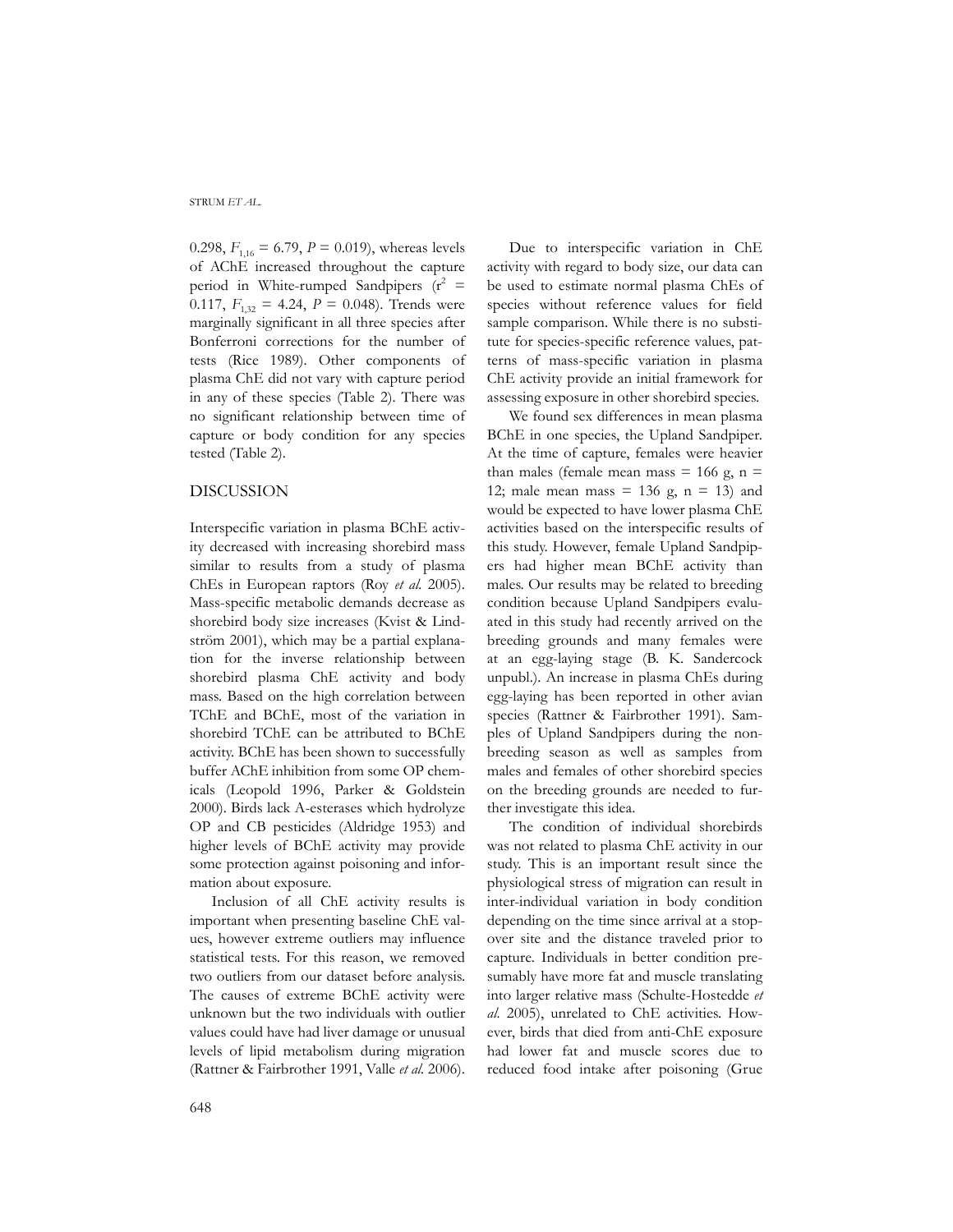0.298,  $F_{1,16} = 6.79$ ,  $P = 0.019$ ), whereas levels of AChE increased throughout the capture period in White-rumped Sandpipers  $(r^2 =$ 0.117,  $F_{1,32} = 4.24$ ,  $P = 0.048$ ). Trends were marginally significant in all three species after Bonferroni corrections for the number of tests (Rice 1989). Other components of plasma ChE did not vary with capture period in any of these species (Table 2). There was no significant relationship between time of capture or body condition for any species tested (Table 2).

## DISCUSSION

Interspecific variation in plasma BChE activity decreased with increasing shorebird mass similar to results from a study of plasma ChEs in European raptors (Roy *et al.* 2005). Mass-specific metabolic demands decrease as shorebird body size increases (Kvist & Lindström 2001), which may be a partial explanation for the inverse relationship between shorebird plasma ChE activity and body mass. Based on the high correlation between TChE and BChE, most of the variation in shorebird TChE can be attributed to BChE activity. BChE has been shown to successfully buffer AChE inhibition from some OP chemicals (Leopold 1996, Parker & Goldstein 2000). Birds lack A-esterases which hydrolyze OP and CB pesticides (Aldridge 1953) and higher levels of BChE activity may provide some protection against poisoning and information about exposure.

Inclusion of all ChE activity results is important when presenting baseline ChE values, however extreme outliers may influence statistical tests. For this reason, we removed two outliers from our dataset before analysis. The causes of extreme BChE activity were unknown but the two individuals with outlier values could have had liver damage or unusual levels of lipid metabolism during migration (Rattner & Fairbrother 1991, Valle *et al.* 2006).

Due to interspecific variation in ChE activity with regard to body size, our data can be used to estimate normal plasma ChEs of species without reference values for field sample comparison. While there is no substitute for species-specific reference values, patterns of mass-specific variation in plasma ChE activity provide an initial framework for assessing exposure in other shorebird species.

We found sex differences in mean plasma BChE in one species, the Upland Sandpiper*.* At the time of capture, females were heavier than males (female mean mass  $= 166$  g, n  $=$ 12; male mean mass  $= 136$  g, n  $= 13$ ) and would be expected to have lower plasma ChE activities based on the interspecific results of this study. However, female Upland Sandpipers had higher mean BChE activity than males. Our results may be related to breeding condition because Upland Sandpipers evaluated in this study had recently arrived on the breeding grounds and many females were at an egg-laying stage (B. K. Sandercock unpubl.). An increase in plasma ChEs during egg-laying has been reported in other avian species (Rattner & Fairbrother 1991). Samples of Upland Sandpipers during the nonbreeding season as well as samples from males and females of other shorebird species on the breeding grounds are needed to further investigate this idea.

The condition of individual shorebirds was not related to plasma ChE activity in our study. This is an important result since the physiological stress of migration can result in inter-individual variation in body condition depending on the time since arrival at a stopover site and the distance traveled prior to capture. Individuals in better condition presumably have more fat and muscle translating into larger relative mass (Schulte-Hostedde *et al.* 2005), unrelated to ChE activities. However, birds that died from anti-ChE exposure had lower fat and muscle scores due to reduced food intake after poisoning (Grue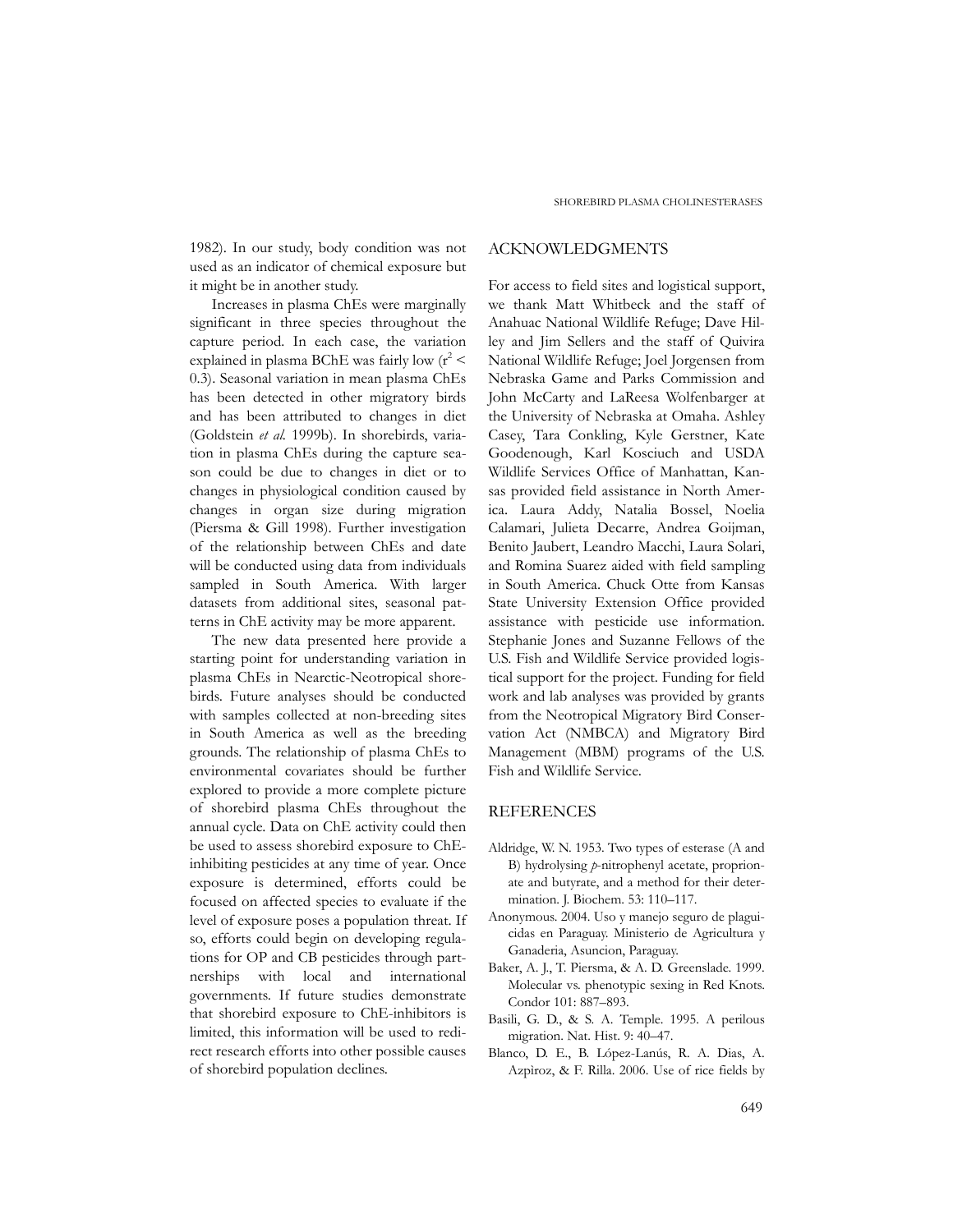1982). In our study, body condition was not used as an indicator of chemical exposure but it might be in another study.

Increases in plasma ChEs were marginally significant in three species throughout the capture period*.* In each case, the variation explained in plasma BChE was fairly low  $(r^2 <$ 0.3). Seasonal variation in mean plasma ChEs has been detected in other migratory birds and has been attributed to changes in diet (Goldstein *et al.* 1999b). In shorebirds, variation in plasma ChEs during the capture season could be due to changes in diet or to changes in physiological condition caused by changes in organ size during migration (Piersma & Gill 1998). Further investigation of the relationship between ChEs and date will be conducted using data from individuals sampled in South America. With larger datasets from additional sites, seasonal patterns in ChE activity may be more apparent.

The new data presented here provide a starting point for understanding variation in plasma ChEs in Nearctic-Neotropical shorebirds. Future analyses should be conducted with samples collected at non-breeding sites in South America as well as the breeding grounds. The relationship of plasma ChEs to environmental covariates should be further explored to provide a more complete picture of shorebird plasma ChEs throughout the annual cycle. Data on ChE activity could then be used to assess shorebird exposure to ChEinhibiting pesticides at any time of year. Once exposure is determined, efforts could be focused on affected species to evaluate if the level of exposure poses a population threat. If so, efforts could begin on developing regulations for OP and CB pesticides through partnerships with local and international governments. If future studies demonstrate that shorebird exposure to ChE-inhibitors is limited, this information will be used to redirect research efforts into other possible causes of shorebird population declines.

## ACKNOWLEDGMENTS

For access to field sites and logistical support, we thank Matt Whitbeck and the staff of Anahuac National Wildlife Refuge; Dave Hilley and Jim Sellers and the staff of Quivira National Wildlife Refuge; Joel Jorgensen from Nebraska Game and Parks Commission and John McCarty and LaReesa Wolfenbarger at the University of Nebraska at Omaha. Ashley Casey, Tara Conkling, Kyle Gerstner, Kate Goodenough, Karl Kosciuch and USDA Wildlife Services Office of Manhattan, Kansas provided field assistance in North America. Laura Addy, Natalia Bossel, Noelia Calamari, Julieta Decarre, Andrea Goijman, Benito Jaubert, Leandro Macchi, Laura Solari, and Romina Suarez aided with field sampling in South America. Chuck Otte from Kansas State University Extension Office provided assistance with pesticide use information. Stephanie Jones and Suzanne Fellows of the U.S. Fish and Wildlife Service provided logistical support for the project. Funding for field work and lab analyses was provided by grants from the Neotropical Migratory Bird Conservation Act (NMBCA) and Migratory Bird Management (MBM) programs of the U.S. Fish and Wildlife Service.

# **REFERENCES**

- Aldridge, W. N. 1953. Two types of esterase (A and B) hydrolysing *p*-nitrophenyl acetate, proprionate and butyrate, and a method for their determination. J. Biochem. 53: 110–117.
- Anonymous. 2004. Uso y manejo seguro de plaguicidas en Paraguay. Ministerio de Agricultura y Ganaderia, Asuncion, Paraguay.
- Baker, A. J., T. Piersma, & A. D. Greenslade. 1999. Molecular vs. phenotypic sexing in Red Knots. Condor 101: 887–893.
- Basili, G. D., & S. A. Temple. 1995. A perilous migration. Nat. Hist. 9: 40–47.
- Blanco, D. E., B. López-Lanús, R. A. Dias, A. Azpìroz, & F. Rilla. 2006. Use of rice fields by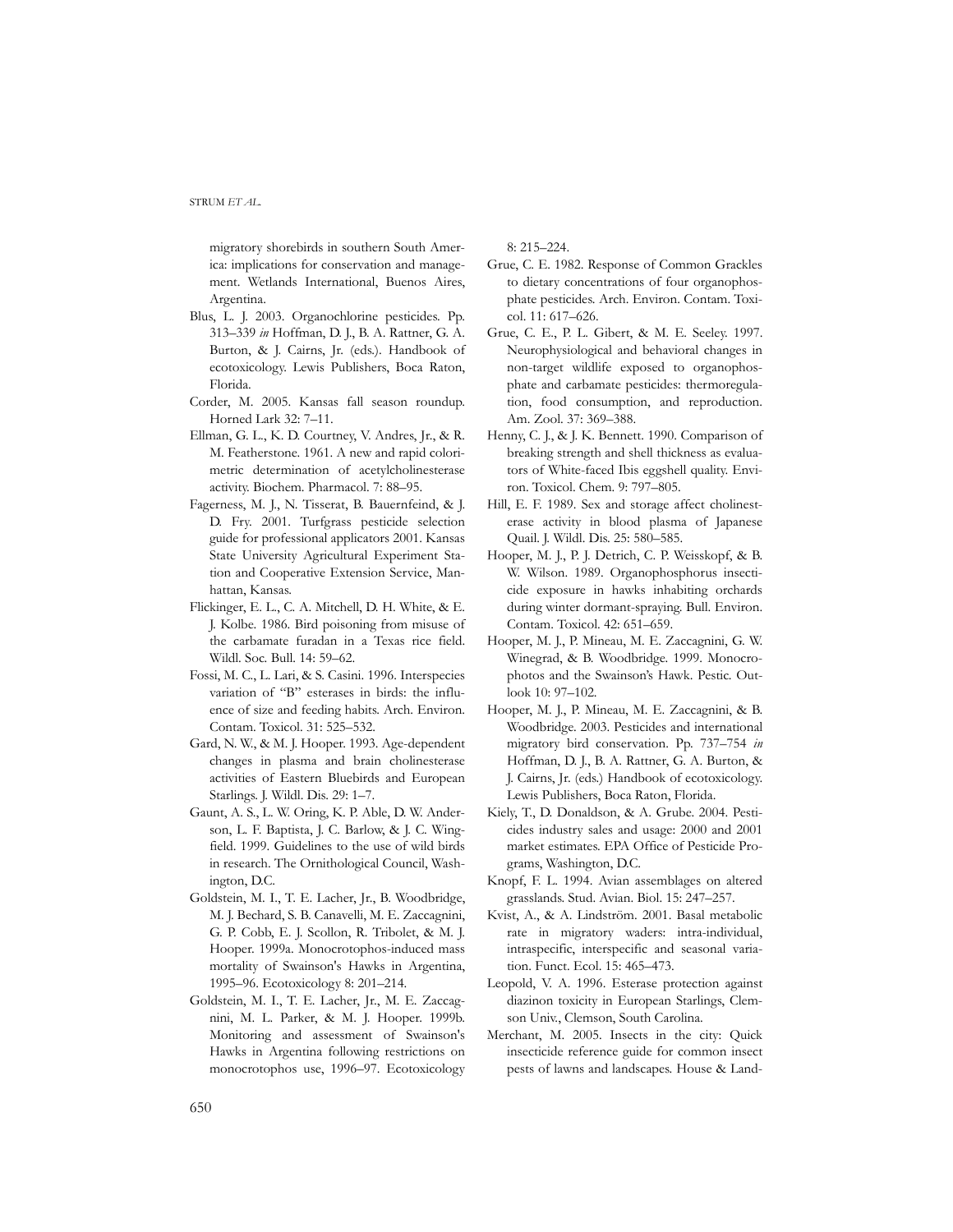migratory shorebirds in southern South America: implications for conservation and management. Wetlands International, Buenos Aires, Argentina.

- Blus, L. J. 2003. Organochlorine pesticides. Pp. 313–339 *in* Hoffman, D. J., B. A. Rattner, G. A. Burton, & J. Cairns, Jr. (eds.). Handbook of ecotoxicology. Lewis Publishers, Boca Raton, Florida.
- Corder, M. 2005. Kansas fall season roundup. Horned Lark 32: 7–11.
- Ellman, G. L., K. D. Courtney, V. Andres, Jr., & R. M. Featherstone. 1961. A new and rapid colorimetric determination of acetylcholinesterase activity. Biochem. Pharmacol. 7: 88–95.
- Fagerness, M. J., N. Tisserat, B. Bauernfeind, & J. D. Fry. 2001. Turfgrass pesticide selection guide for professional applicators 2001. Kansas State University Agricultural Experiment Station and Cooperative Extension Service, Manhattan, Kansas.
- Flickinger, E. L., C. A. Mitchell, D. H. White, & E. J. Kolbe. 1986. Bird poisoning from misuse of the carbamate furadan in a Texas rice field. Wildl. Soc. Bull. 14: 59–62.
- Fossi, M. C., L. Lari, & S. Casini. 1996. Interspecies variation of "B" esterases in birds: the influence of size and feeding habits. Arch. Environ. Contam. Toxicol. 31: 525–532.
- Gard, N. W., & M. J. Hooper. 1993. Age-dependent changes in plasma and brain cholinesterase activities of Eastern Bluebirds and European Starlings. J. Wildl. Dis. 29: 1–7.
- Gaunt, A. S., L. W. Oring, K. P. Able, D. W. Anderson, L. F. Baptista, J. C. Barlow, & J. C. Wingfield. 1999. Guidelines to the use of wild birds in research. The Ornithological Council, Washington, D.C.
- Goldstein, M. I., T. E. Lacher, Jr., B. Woodbridge, M. J. Bechard, S. B. Canavelli, M. E. Zaccagnini, G. P. Cobb, E. J. Scollon, R. Tribolet, & M. J. Hooper. 1999a. Monocrotophos-induced mass mortality of Swainson's Hawks in Argentina, 1995–96. Ecotoxicology 8: 201–214.
- Goldstein, M. I., T. E. Lacher, Jr., M. E. Zaccagnini, M. L. Parker, & M. J. Hooper. 1999b. Monitoring and assessment of Swainson's Hawks in Argentina following restrictions on monocrotophos use, 1996–97. Ecotoxicology

8: 215–224.

- Grue, C. E. 1982. Response of Common Grackles to dietary concentrations of four organophosphate pesticides. Arch. Environ. Contam. Toxicol. 11: 617–626.
- Grue, C. E., P. L. Gibert, & M. E. Seeley. 1997. Neurophysiological and behavioral changes in non-target wildlife exposed to organophosphate and carbamate pesticides: thermoregulation, food consumption, and reproduction. Am. Zool. 37: 369–388.
- Henny, C. J., & J. K. Bennett. 1990. Comparison of breaking strength and shell thickness as evaluators of White-faced Ibis eggshell quality. Environ. Toxicol. Chem. 9: 797–805.
- Hill, E. F. 1989. Sex and storage affect cholinesterase activity in blood plasma of Japanese Quail. J. Wildl. Dis. 25: 580–585.
- Hooper, M. J., P. J. Detrich, C. P. Weisskopf, & B. W. Wilson. 1989. Organophosphorus insecticide exposure in hawks inhabiting orchards during winter dormant-spraying. Bull. Environ. Contam. Toxicol. 42: 651–659.
- Hooper, M. J., P. Mineau, M. E. Zaccagnini, G. W. Winegrad, & B. Woodbridge. 1999. Monocrophotos and the Swainson's Hawk. Pestic. Outlook 10: 97–102.
- Hooper, M. J., P. Mineau, M. E. Zaccagnini, & B. Woodbridge. 2003. Pesticides and international migratory bird conservation. Pp. 737–754 *in* Hoffman, D. J., B. A. Rattner, G. A. Burton, & J. Cairns, Jr. (eds.) Handbook of ecotoxicology. Lewis Publishers, Boca Raton, Florida.
- Kiely, T., D. Donaldson, & A. Grube. 2004. Pesticides industry sales and usage: 2000 and 2001 market estimates. EPA Office of Pesticide Programs, Washington, D.C.
- Knopf, F. L. 1994. Avian assemblages on altered grasslands. Stud. Avian. Biol. 15: 247–257.
- Kvist, A., & A. Lindström. 2001. Basal metabolic rate in migratory waders: intra-individual, intraspecific, interspecific and seasonal variation. Funct. Ecol. 15: 465–473.
- Leopold, V. A. 1996. Esterase protection against diazinon toxicity in European Starlings, Clemson Univ., Clemson, South Carolina.
- Merchant, M. 2005. Insects in the city: Quick insecticide reference guide for common insect pests of lawns and landscapes. House & Land-